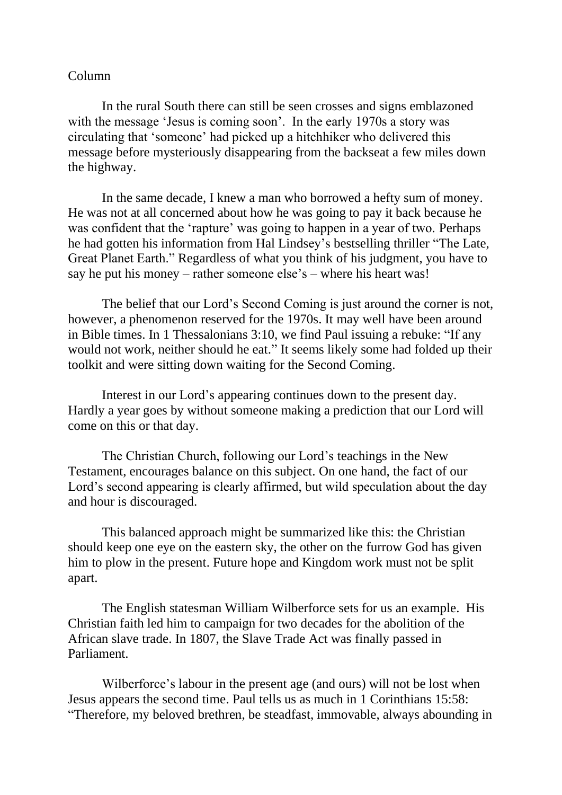## Column

In the rural South there can still be seen crosses and signs emblazoned with the message 'Jesus is coming soon'. In the early 1970s a story was circulating that 'someone' had picked up a hitchhiker who delivered this message before mysteriously disappearing from the backseat a few miles down the highway.

In the same decade, I knew a man who borrowed a hefty sum of money. He was not at all concerned about how he was going to pay it back because he was confident that the 'rapture' was going to happen in a year of two. Perhaps he had gotten his information from Hal Lindsey's bestselling thriller "The Late, Great Planet Earth." Regardless of what you think of his judgment, you have to say he put his money – rather someone else's – where his heart was!

The belief that our Lord's Second Coming is just around the corner is not, however, a phenomenon reserved for the 1970s. It may well have been around in Bible times. In 1 Thessalonians 3:10, we find Paul issuing a rebuke: "If any would not work, neither should he eat." It seems likely some had folded up their toolkit and were sitting down waiting for the Second Coming.

Interest in our Lord's appearing continues down to the present day. Hardly a year goes by without someone making a prediction that our Lord will come on this or that day.

The Christian Church, following our Lord's teachings in the New Testament, encourages balance on this subject. On one hand, the fact of our Lord's second appearing is clearly affirmed, but wild speculation about the day and hour is discouraged.

This balanced approach might be summarized like this: the Christian should keep one eye on the eastern sky, the other on the furrow God has given him to plow in the present. Future hope and Kingdom work must not be split apart.

The English statesman William Wilberforce sets for us an example. His Christian faith led him to campaign for two decades for the abolition of the African slave trade. In 1807, the Slave Trade Act was finally passed in Parliament.

Wilberforce's labour in the present age (and ours) will not be lost when Jesus appears the second time. Paul tells us as much in 1 Corinthians 15:58: "Therefore, my beloved brethren, be steadfast, immovable, always abounding in